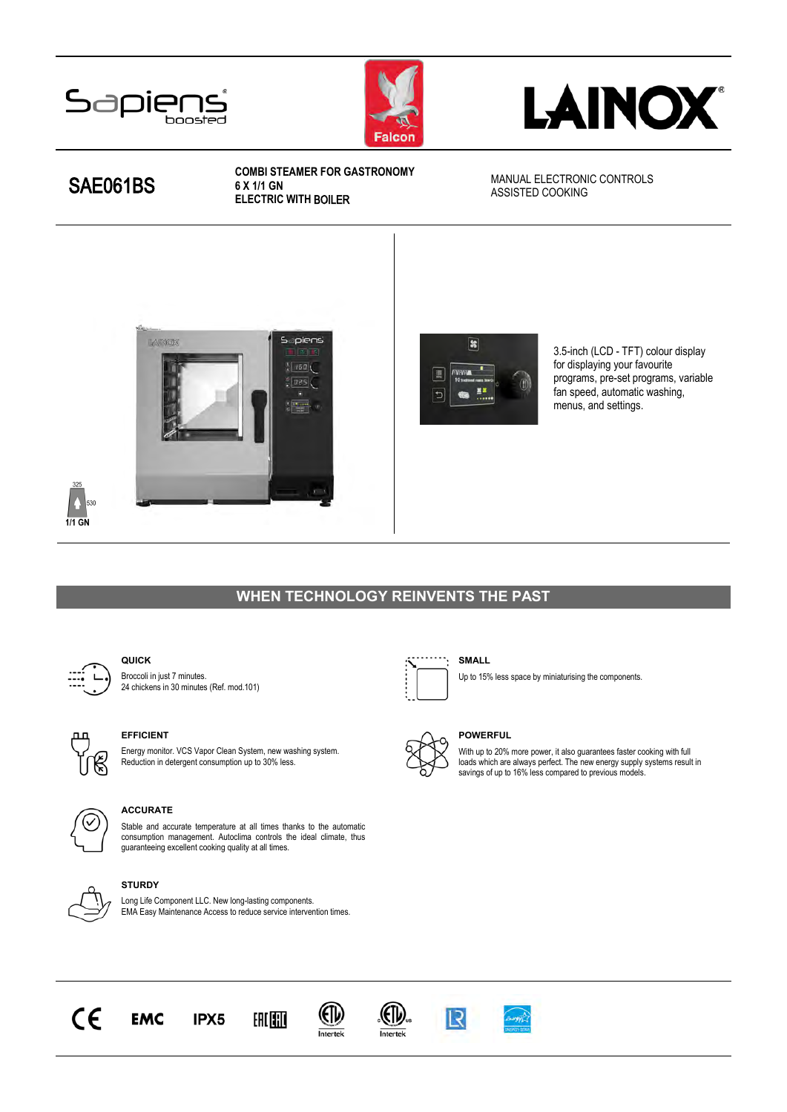





# SAE061BS

#### COMBI STEAMER FOR GASTRONOMY 6 X 1/1 GN ELECTRIC WITH BOILER

MANUAL ELECTRONIC CONTROLS ASSISTED COOKING





3.5-inch (LCD - TFT) colour display for displaying your favourite programs, pre-set programs, variable fan speed, automatic washing, menus, and settings.

# WHEN TECHNOLOGY REINVENTS THE PAST



325  $\ddot{\bullet}$ 530  $1/1$  GN

# QUICK

Broccoli in just 7 minutes. 24 chickens in 30 minutes (Ref. mod.101)



### EFFICIENT

Energy monitor. VCS Vapor Clean System, new washing system. Reduction in detergent consumption up to 30% less.



### ACCURATE

Stable and accurate temperature at all times thanks to the automatic consumption management. Autoclima controls the ideal climate, thus guaranteeing excellent cooking quality at all times.



#### **STURDY**

**EMC** 

Long Life Component LLC. New long-lasting components. EMA Easy Maintenance Access to reduce service intervention times.

IPX5

EALETT

(EI)



#### SMALL

 $R$ 

Up to 15% less space by miniaturising the components.



#### POWERFUL

With up to 20% more power, it also guarantees faster cooking with full loads which are always perfect. The new energy supply systems result in savings of up to 16% less compared to previous models.

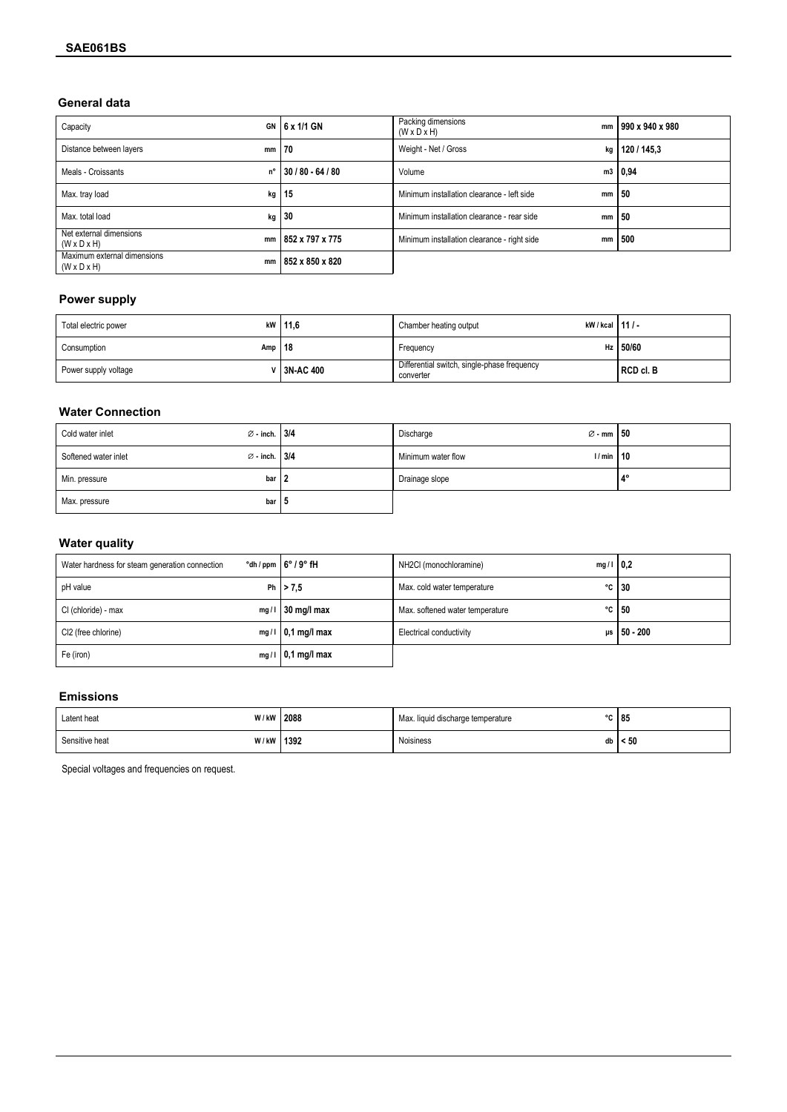### General data

| Capacity                                                     | GN $6x$ 1/1 GN       | Packing dimensions<br>mm<br>$(W \times D \times H)$ | 990 x 940 x 980 |
|--------------------------------------------------------------|----------------------|-----------------------------------------------------|-----------------|
| Distance between layers<br>$mm \mid 70$                      |                      | Weight - Net / Gross<br>kg                          | 120 / 145.3     |
| Meals - Croissants                                           | n° 130/80 - 64/80    | Volume                                              | m3   0,94       |
| Max. tray load                                               | $kg$   15            | Minimum installation clearance - left side          | $mm \mid 50$    |
| Max. total load                                              | $kg$ 30              | Minimum installation clearance - rear side          | $mm \mid 50$    |
| Net external dimensions<br>$(W \times D \times H)$           | mm   852 x 797 x 775 | Minimum installation clearance - right side<br>mm   | 500             |
| Maximum external dimensions<br>mm<br>$(W \times D \times H)$ | 852 x 850 x 820      |                                                     |                 |

# **Power supply**

| Total electric power     | kW   11,6            | kW/kcal   11/-<br>Chamber heating output                 |             |
|--------------------------|----------------------|----------------------------------------------------------|-------------|
| Amp $ 18$<br>Consumption |                      | Frequency                                                | Hz $150/60$ |
| Power supply voltage     | <b>∨   3N-AC 400</b> | Differential switch, single-phase frequency<br>converter | RCD cl. B   |

# **Water Connection**

| Cold water inlet     | $\varnothing$ - inch. 3/4 | $\varnothing$ - mm $\vert 50 \vert$<br>Discharge |                |
|----------------------|---------------------------|--------------------------------------------------|----------------|
| Softened water inlet | $\varnothing$ - inch. 3/4 | Minimum water flow<br>1/min                      | 10             |
| Min. pressure        | bar $ 2$                  | Drainage slope                                   | $\overline{A}$ |
| Max. pressure        | bar   5                   |                                                  |                |

# **Water quality**

| Water hardness for steam generation connection | $\degree$ dh / ppm $\frac{1}{2}$ 6 $\degree$ / 9 $\degree$ fH | NH2Cl (monochloramine)<br>$mg/1$   0.2 |                    |
|------------------------------------------------|---------------------------------------------------------------|----------------------------------------|--------------------|
| pH value                                       | Ph $  > 7.5$                                                  | Max. cold water temperature            | $\degree$ C   30   |
| CI (chloride) - max                            | $mg/1$ 30 mg/l max                                            | Max. softened water temperature        | $\degree$ C   50   |
| CI2 (free chlorine)                            | $mg/1$   0,1 mg/l max                                         | <b>Electrical conductivity</b>         | $\mu s$   50 - 200 |
| Fe (iron)                                      | $mg/1$   0,1 mg/l max                                         |                                        |                    |

# **Emissions**

| Latent heat    | W/kW 2088   | Max. liquid discharge temperature | $\sim$ | 85        |
|----------------|-------------|-----------------------------------|--------|-----------|
| Sensitive heat | W/kW   1392 | Noisiness                         | db     | $\leq 50$ |

Special voltages and frequencies on request.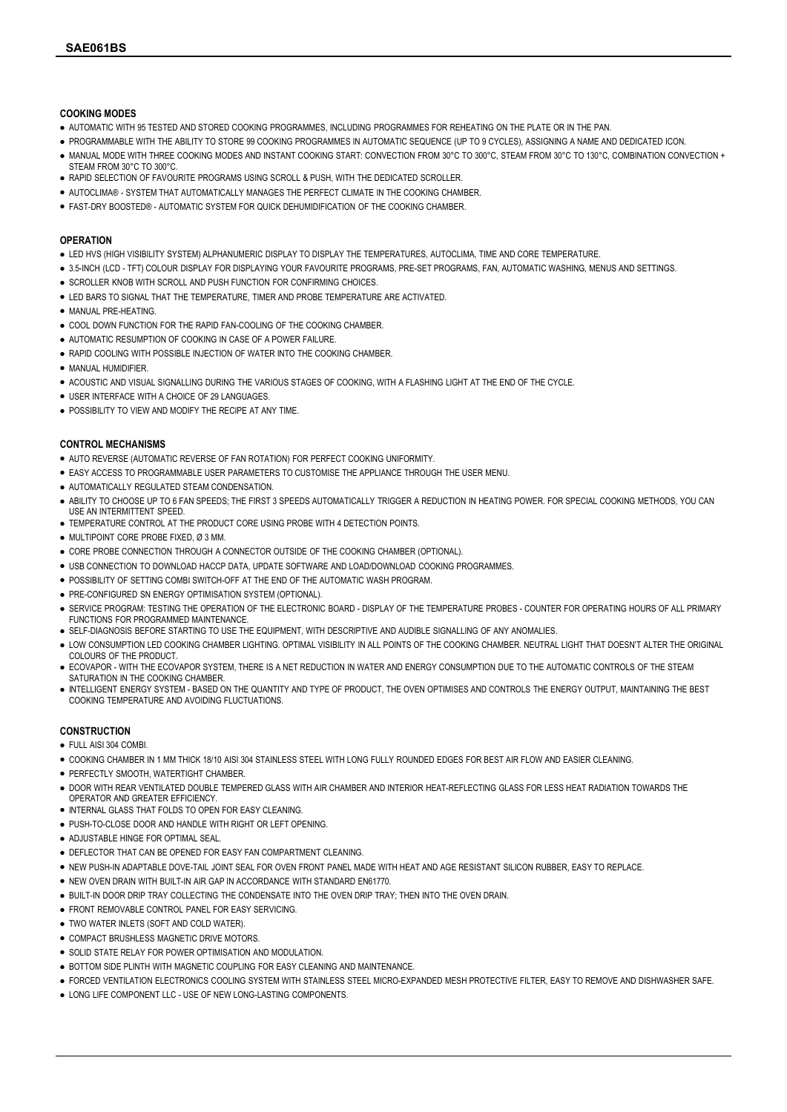#### COOKING MODES

- AUTOMATIC WITH 95 TESTED AND STORED COOKING PROGRAMMES, INCLUDING PROGRAMMES FOR REHEATING ON THE PLATE OR IN THE PAN.
- PROGRAMMABLE WITH THE ABILITY TO STORE 99 COOKING PROGRAMMES IN AUTOMATIC SEQUENCE (UP TO 9 CYCLES), ASSIGNING A NAME AND DEDICATED ICON.
- MANUAL MODE WITH THREE COOKING MODES AND INSTANT COOKING START: CONVECTION FROM 30°C TO 300°C, STEAM FROM 30°C TO 130°C, COMBINATION CONVECTION + STEAM FROM 30°C TO 300°C.
- RAPID SELECTION OF FAVOURITE PROGRAMS USING SCROLL & PUSH, WITH THE DEDICATED SCROLLER.
- AUTOCLIMA® SYSTEM THAT AUTOMATICALLY MANAGES THE PERFECT CLIMATE IN THE COOKING CHAMBER.
- FAST-DRY BOOSTED® AUTOMATIC SYSTEM FOR QUICK DEHUMIDIFICATION OF THE COOKING CHAMBER.

#### **OPERATION**

- LED HVS (HIGH VISIBILITY SYSTEM) ALPHANUMERIC DISPLAY TO DISPLAY THE TEMPERATURES, AUTOCLIMA, TIME AND CORE TEMPERATURE.
- 3.5-INCH (LCD TFT) COLOUR DISPLAY FOR DISPLAYING YOUR FAVOURITE PROGRAMS, PRE-SET PROGRAMS, FAN, AUTOMATIC WASHING, MENUS AND SETTINGS.
- **.** SCROLLER KNOB WITH SCROLL AND PUSH FUNCTION FOR CONFIRMING CHOICES.
- **.** LED BARS TO SIGNAL THAT THE TEMPERATURE, TIMER AND PROBE TEMPERATURE ARE ACTIVATED.
- MANUAL PRE-HEATING.
- **.** COOL DOWN FUNCTION FOR THE RAPID FAN-COOLING OF THE COOKING CHAMBER.
- AUTOMATIC RESUMPTION OF COOKING IN CASE OF A POWER FAILURE.
- RAPID COOLING WITH POSSIBLE INJECTION OF WATER INTO THE COOKING CHAMBER.
- MANUAL HUMIDIFIER.
- ACOUSTIC AND VISUAL SIGNALLING DURING THE VARIOUS STAGES OF COOKING, WITH A FLASHING LIGHT AT THE END OF THE CYCLE.
- USER INTERFACE WITH A CHOICE OF 29 LANGUAGES.
- POSSIBILITY TO VIEW AND MODIFY THE RECIPE AT ANY TIME.

#### CONTROL MECHANISMS

- AUTO REVERSE (AUTOMATIC REVERSE OF FAN ROTATION) FOR PERFECT COOKING UNIFORMITY.
- EASY ACCESS TO PROGRAMMABLE USER PARAMETERS TO CUSTOMISE THE APPLIANCE THROUGH THE USER MENU.
- AUTOMATICALLY REGULATED STEAM CONDENSATION.
- ABILITY TO CHOOSE UP TO 6 FAN SPEEDS; THE FIRST 3 SPEEDS AUTOMATICALLY TRIGGER A REDUCTION IN HEATING POWER. FOR SPECIAL COOKING METHODS, YOU CAN USE AN INTERMITTENT SPEED.
- TEMPERATURE CONTROL AT THE PRODUCT CORE USING PROBE WITH 4 DETECTION POINTS.
- MULTIPOINT CORE PROBE FIXED Ø 3 MM
- CORE PROBE CONNECTION THROUGH A CONNECTOR OUTSIDE OF THE COOKING CHAMBER (OPTIONAL).
- . USB CONNECTION TO DOWNLOAD HACCP DATA, UPDATE SOFTWARE AND LOAD/DOWNLOAD COOKING PROGRAMMES.
- POSSIBILITY OF SETTING COMBI SWITCH-OFF AT THE END OF THE AUTOMATIC WASH PROGRAM.
- PRE-CONFIGURED SN ENERGY OPTIMISATION SYSTEM (OPTIONAL).
- SERVICE PROGRAM: TESTING THE OPERATION OF THE ELECTRONIC BOARD DISPLAY OF THE TEMPERATURE PROBES COUNTER FOR OPERATING HOURS OF ALL PRIMARY FUNCTIONS FOR PROGRAMMED MAINTENANCE.
- SELF-DIAGNOSIS BEFORE STARTING TO USE THE EQUIPMENT, WITH DESCRIPTIVE AND AUDIBLE SIGNALLING OF ANY ANOMALIES.
- LOW CONSUMPTION LED COOKING CHAMBER LIGHTING. OPTIMAL VISIBILITY IN ALL POINTS OF THE COOKING CHAMBER. NEUTRAL LIGHT THAT DOESN'T ALTER THE ORIGINAL COLOURS OF THE PRODUCT.
- ECOVAPOR WITH THE ECOVAPOR SYSTEM, THERE IS A NET REDUCTION IN WATER AND ENERGY CONSUMPTION DUE TO THE AUTOMATIC CONTROLS OF THE STEAM SATURATION IN THE COOKING CHAMBER.
- INTELLIGENT ENERGY SYSTEM BASED ON THE QUANTITY AND TYPE OF PRODUCT, THE OVEN OPTIMISES AND CONTROLS THE ENERGY OUTPUT, MAINTAINING THE BEST COOKING TEMPERATURE AND AVOIDING FLUCTUATIONS.

#### **CONSTRUCTION**

- FULL AISI 304 COMBI.
- COOKING CHAMBER IN 1 MM THICK 18/10 AISI 304 STAINLESS STEEL WITH LONG FULLY ROUNDED EDGES FOR BEST AIR FLOW AND EASIER CLEANING.
- PERFECTLY SMOOTH, WATERTIGHT CHAMBER.
- DOOR WITH REAR VENTILATED DOUBLE TEMPERED GLASS WITH AIR CHAMBER AND INTERIOR HEAT-REFLECTING GLASS FOR LESS HEAT RADIATION TOWARDS THE OPERATOR AND GREATER EFFICIENCY.
- INTERNAL GLASS THAT FOLDS TO OPEN FOR EASY CLEANING.
- PUSH-TO-CLOSE DOOR AND HANDLE WITH RIGHT OR LEFT OPENING.
- ADJUSTABLE HINGE FOR OPTIMAL SEAL.
- **.** DEFLECTOR THAT CAN BE OPENED FOR EASY FAN COMPARTMENT CLEANING.
- NEW PUSH-IN ADAPTABLE DOVE-TAIL JOINT SEAL FOR OVEN FRONT PANEL MADE WITH HEAT AND AGE RESISTANT SILICON RUBBER, EASY TO REPLACE.
- NEW OVEN DRAIN WITH BUILT-IN AIR GAP IN ACCORDANCE WITH STANDARD EN61770.
- BUILT-IN DOOR DRIP TRAY COLLECTING THE CONDENSATE INTO THE OVEN DRIP TRAY; THEN INTO THE OVEN DRAIN.
- FRONT REMOVABLE CONTROL PANEL FOR EASY SERVICING.
- **.** TWO WATER INLETS (SOFT AND COLD WATER).
- COMPACT BRUSHLESS MAGNETIC DRIVE MOTORS.
- **.** SOLID STATE RELAY FOR POWER OPTIMISATION AND MODULATION.
- **.** BOTTOM SIDE PLINTH WITH MAGNETIC COUPLING FOR EASY CLEANING AND MAINTENANCE.
- FORCED VENTILATION ELECTRONICS COOLING SYSTEM WITH STAINLESS STEEL MICRO-EXPANDED MESH PROTECTIVE FILTER, EASY TO REMOVE AND DISHWASHER SAFE.
- LONG LIFE COMPONENT LLC USE OF NEW LONG-LASTING COMPONENTS.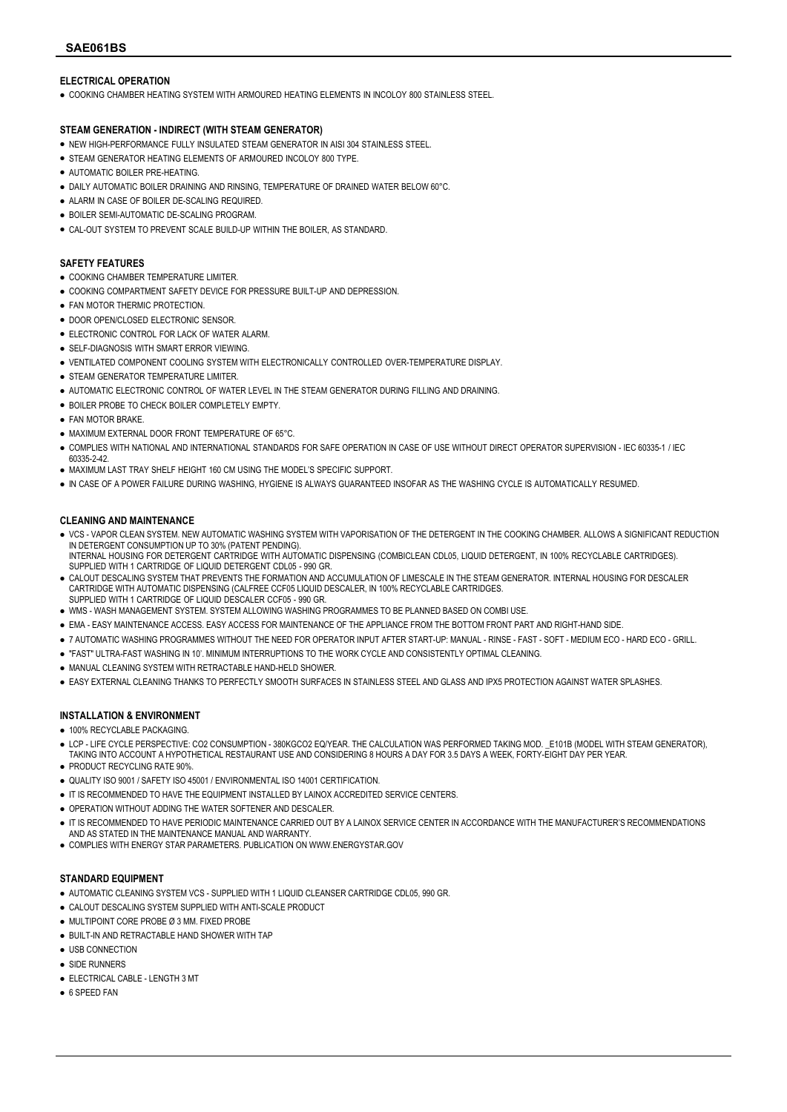#### ELECTRICAL OPERATION

● COOKING CHAMBER HEATING SYSTEM WITH ARMOURED HEATING ELEMENTS IN INCOLOY 800 STAINLESS STEEL

#### STEAM GENERATION - INDIRECT (WITH STEAM GENERATOR)

- NEW HIGH-PERFORMANCE FULLY INSULATED STEAM GENERATOR IN AISI 304 STAINLESS STEEL.
- STEAM GENERATOR HEATING ELEMENTS OF ARMOURED INCOLOY 800 TYPE.
- AUTOMATIC BOILER PRE-HEATING.
- DAILY AUTOMATIC BOILER DRAINING AND RINSING, TEMPERATURE OF DRAINED WATER BELOW 60°C.
- ALARM IN CASE OF BOILER DE-SCALING REQUIRED.
- BOILER SEMI-AUTOMATIC DE-SCALING PROGRAM.
- **CAL-OUT SYSTEM TO PREVENT SCALE BUILD-UP WITHIN THE BOILER, AS STANDARD.**

#### SAFETY FEATURES

- COOKING CHAMBER TEMPERATURE LIMITER.
- COOKING COMPARTMENT SAFETY DEVICE FOR PRESSURE BUILT-UP AND DEPRESSION.
- **FAN MOTOR THERMIC PROTECTION.**
- DOOR OPEN/CLOSED ELECTRONIC SENSOR.
- **.** ELECTRONIC CONTROL FOR LACK OF WATER ALARM.
- SELF-DIAGNOSIS WITH SMART ERROR VIEWING.
- VENTILATED COMPONENT COOLING SYSTEM WITH ELECTRONICALLY CONTROLLED OVER-TEMPERATURE DISPLAY.
- **STEAM GENERATOR TEMPERATURE LIMITER**
- AUTOMATIC ELECTRONIC CONTROL OF WATER LEVEL IN THE STEAM GENERATOR DURING FILLING AND DRAINING.
- BOILER PROBE TO CHECK BOILER COMPLETELY EMPTY.
- **FAN MOTOR BRAKE**
- MAXIMUM EXTERNAL DOOR FRONT TEMPERATURE OF 65°C.
- COMPLIES WITH NATIONAL AND INTERNATIONAL STANDARDS FOR SAFE OPERATION IN CASE OF USE WITHOUT DIRECT OPERATOR SUPERVISION IEC 60335-1 / IEC 60335-2-42.
- MAXIMUM LAST TRAY SHELF HEIGHT 160 CM USING THE MODEL'S SPECIFIC SUPPORT.
- IN CASE OF A POWER FAILURE DURING WASHING, HYGIENE IS ALWAYS GUARANTEED INSOFAR AS THE WASHING CYCLE IS AUTOMATICALLY RESUMED.

#### CLEANING AND MAINTENANCE

- VCS VAPOR CLEAN SYSTEM. NEW AUTOMATIC WASHING SYSTEM WITH VAPORISATION OF THE DETERGENT IN THE COOKING CHAMBER. ALLOWS A SIGNIFICANT REDUCTION IN DETERGENT CONSUMPTION UP TO 30% (PATENT PENDING).
- INTERNAL HOUSING FOR DETERGENT CARTRIDGE WITH AUTOMATIC DISPENSING (COMBICLEAN CDL05, LIQUID DETERGENT, IN 100% RECYCLABLE CARTRIDGES). SUPPLIED WITH 1 CARTRIDGE OF LIQUID DETERGENT CDL05 - 990 GR.
- CALOUT DESCALING SYSTEM THAT PREVENTS THE FORMATION AND ACCUMULATION OF LIMESCALE IN THE STEAM GENERATOR. INTERNAL HOUSING FOR DESCALER CARTRIDGE WITH AUTOMATIC DISPENSING (CALFREE CCF05 LIQUID DESCALER, IN 100% RECYCLABLE CARTRIDGES. SUPPLIED WITH 1 CARTRIDGE OF LIQUID DESCALER CCF05 - 990 GR.
- WMS WASH MANAGEMENT SYSTEM. SYSTEM ALLOWING WASHING PROGRAMMES TO BE PLANNED BASED ON COMBI USE.
- EMA EASY MAINTENANCE ACCESS. EASY ACCESS FOR MAINTENANCE OF THE APPLIANCE FROM THE BOTTOM FRONT PART AND RIGHT-HAND SIDE.
- 7 AUTOMATIC WASHING PROGRAMMES WITHOUT THE NEED FOR OPERATOR INPUT AFTER START-UP: MANUAL RINSE FAST SOFT MEDIUM ECO HARD ECO GRILL.
- "FAST" ULTRA-FAST WASHING IN 10'. MINIMUM INTERRUPTIONS TO THE WORK CYCLE AND CONSISTENTLY OPTIMAL CLEANING.
- MANUAL CLEANING SYSTEM WITH RETRACTABLE HAND-HELD SHOWER.
- EASY EXTERNAL CLEANING THANKS TO PERFECTLY SMOOTH SURFACES IN STAINLESS STEEL AND GLASS AND IPX5 PROTECTION AGAINST WATER SPLASHES.

#### INSTALLATION & ENVIRONMENT

- 100% RECYCLABLE PACKAGING
- LCP LIFE CYCLE PERSPECTIVE: CO2 CONSUMPTION 380KGCO2 EQ/YEAR. THE CALCULATION WAS PERFORMED TAKING MOD. \_E101B (MODEL WITH STEAM GENERATOR), TAKING INTO ACCOUNT A HYPOTHETICAL RESTAURANT USE AND CONSIDERING 8 HOURS A DAY FOR 3.5 DAYS A WEEK, FORTY-EIGHT DAY PER YEAR.
- PRODUCT RECYCLING RATE 90%.
- QUALITY ISO 9001 / SAFETY ISO 45001 / ENVIRONMENTAL ISO 14001 CERTIFICATION.
- IT IS RECOMMENDED TO HAVE THE EQUIPMENT INSTALLED BY LAINOX ACCREDITED SERVICE CENTERS.
- **.** OPERATION WITHOUT ADDING THE WATER SOFTENER AND DESCALER.
- IT IS RECOMMENDED TO HAVE PERIODIC MAINTENANCE CARRIED OUT BY A LAINOX SERVICE CENTER IN ACCORDANCE WITH THE MANUFACTURER'S RECOMMENDATIONS AND AS STATED IN THE MAINTENANCE MANUAL AND WARRANTY
- COMPLIES WITH ENERGY STAR PARAMETERS. PUBLICATION ON WWW.ENERGYSTAR.GOV

#### STANDARD EQUIPMENT

- AUTOMATIC CLEANING SYSTEM VCS SUPPLIED WITH 1 LIQUID CLEANSER CARTRIDGE CDL05, 990 GR.
- **CALOUT DESCALING SYSTEM SUPPLIED WITH ANTI-SCALE PRODUCT**
- MULTIPOINT CORE PROBE Ø 3 MM. FIXED PROBE
- BUILT-IN AND RETRACTABLE HAND SHOWER WITH TAP
- USB CONNECTION
- SIDE RUNNERS
- ELECTRICAL CABLE LENGTH 3 MT
- 6 SPEED FAN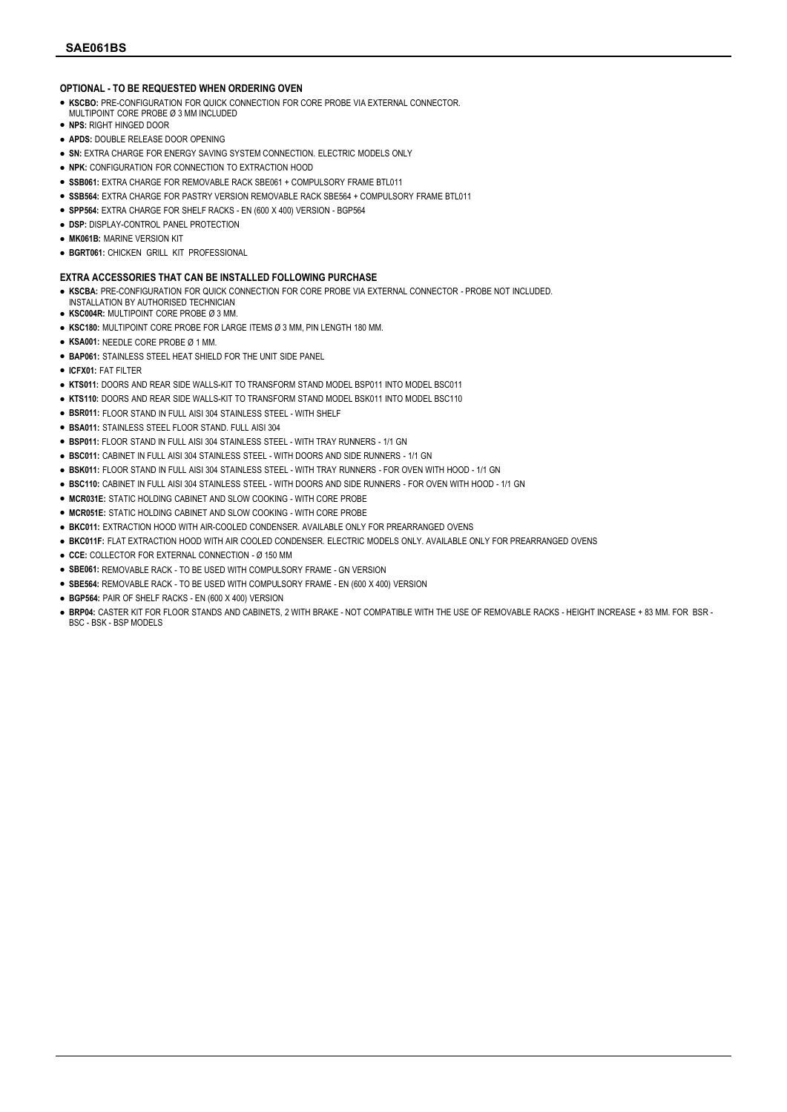#### OPTIONAL - TO BE REQUESTED WHEN ORDERING OVEN

- KSCBO: PRE-CONFIGURATION FOR QUICK CONNECTION FOR CORE PROBE VIA EXTERNAL CONNECTOR.
- MULTIPOINT CORE PROBE Ø 3 MM INCLUDED.
- NPS: RIGHT HINGED DOOR
- APDS: DOUBLE RELEASE DOOR OPENING
- **.** SN: EXTRA CHARGE FOR ENERGY SAVING SYSTEM CONNECTION. ELECTRIC MODELS ONLY
- NPK: CONFIGURATION FOR CONNECTION TO EXTRACTION HOOD
- SSB061: EXTRA CHARGE FOR REMOVABLE RACK SBE061 + COMPULSORY FRAME BTL011
- · SSB564: EXTRA CHARGE FOR PASTRY VERSION REMOVABLE RACK SBE564 + COMPULSORY FRAME BTL011
- SPP564: EXTRA CHARGE FOR SHELF RACKS EN (600 X 400) VERSION BGP564
- **.** DSP: DISPLAY-CONTROL PANEL PROTECTION
- MK061B: MARINE VERSION KIT
- BGRT061: CHICKEN GRILL KIT PROFESSIONAL

#### EXTRA ACCESSORIES THAT CAN BE INSTALLED FOLLOWING PURCHASE

- KSCBA: PRE-CONFIGURATION FOR QUICK CONNECTION FOR CORE PROBE VIA EXTERNAL CONNECTOR PROBE NOT INCLUDED.
- INSTALLATION BY AUTHORISED TECHNICIAN
- KSC004R: MULTIPOINT CORE PROBE Ø 3 MM.
- KSC180: MULTIPOINT CORE PROBE FOR LARGE ITEMS Ø 3 MM, PIN LENGTH 180 MM.
- KSA001: NEEDLE CORE PROBE Ø 1 MM.
- **. BAP061: STAINLESS STEEL HEAT SHIELD FOR THE UNIT SIDE PANEL**
- ICFX01: FAT FILTER
- KTS011: DOORS AND REAR SIDE WALLS-KIT TO TRANSFORM STAND MODEL BSP011 INTO MODEL BSC011
- KTS110: DOORS AND REAR SIDE WALLS-KIT TO TRANSFORM STAND MODEL BSK011 INTO MODEL BSC110
- BSR011: FLOOR STAND IN FULL AISI 304 STAINLESS STEEL WITH SHELF
- BSA011: STAINLESS STEEL FLOOR STAND. FULL AISI 304
- BSP011: FLOOR STAND IN FULL AISI 304 STAINLESS STEEL WITH TRAY RUNNERS 1/1 GN
- BSC011: CABINET IN FULL AISI 304 STAINLESS STEEL WITH DOORS AND SIDE RUNNERS 1/1 GN
- BSK011: FLOOR STAND IN FULL AISI 304 STAINLESS STEEL WITH TRAY RUNNERS FOR OVEN WITH HOOD 1/1 GN
- BSC110: CABINET IN FULL AISI 304 STAINLESS STEEL WITH DOORS AND SIDE RUNNERS FOR OVEN WITH HOOD 1/1 GN
- MCR031E: STATIC HOLDING CABINET AND SLOW COOKING WITH CORE PROBE
- MCR051E: STATIC HOLDING CABINET AND SLOW COOKING WITH CORE PROBE
- **.** BKC011: EXTRACTION HOOD WITH AIR-COOLED CONDENSER. AVAILABLE ONLY FOR PREARRANGED OVENS
- BKC011F: FLAT EXTRACTION HOOD WITH AIR COOLED CONDENSER. ELECTRIC MODELS ONLY. AVAILABLE ONLY FOR PREARRANGED OVENS
- CCE: COLLECTOR FOR EXTERNAL CONNECTION Ø 150 MM
- SBE061: REMOVABLE RACK TO BE USED WITH COMPULSORY FRAME GN VERSION
- SBE564: REMOVABLE RACK TO BE USED WITH COMPULSORY FRAME EN (600 X 400) VERSION
- BGP564: PAIR OF SHELF RACKS EN (600 X 400) VERSION
- BRP04: CASTER KIT FOR FLOOR STANDS AND CABINETS, 2 WITH BRAKE NOT COMPATIBLE WITH THE USE OF REMOVABLE RACKS HEIGHT INCREASE + 83 MM. FOR BSR BSC - BSK - BSP MODELS